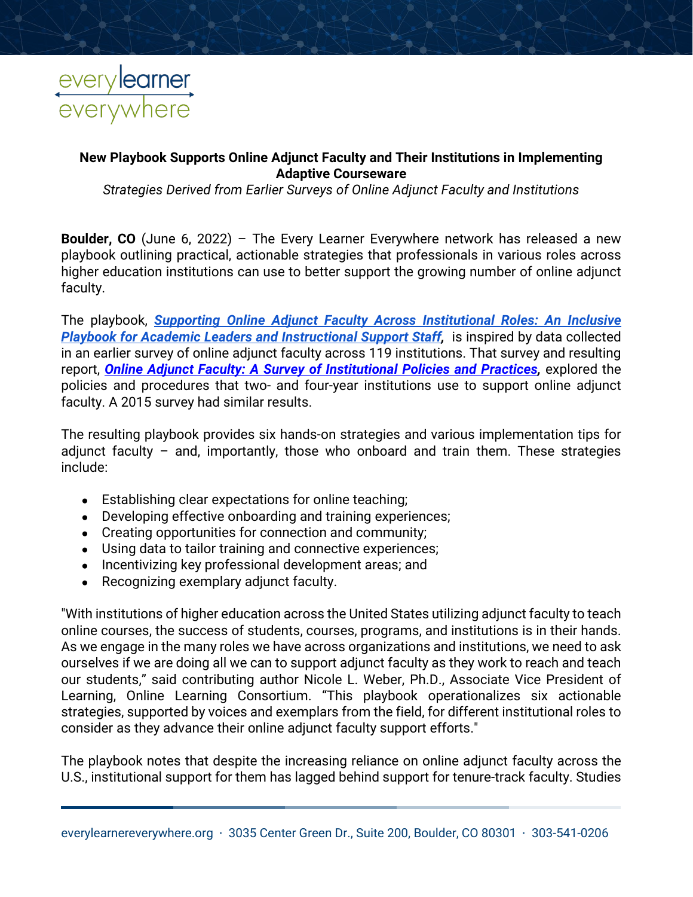

## **New Playbook Supports Online Adjunct Faculty and Their Institutions in Implementing Adaptive Courseware**

*Strategies Derived from Earlier Surveys of Online Adjunct Faculty and Institutions*

**Boulder, CO** (June 6, 2022) – The Every Learner Everywhere network has released a new playbook outlining practical, actionable strategies that professionals in various roles across higher education institutions can use to better support the growing number of online adjunct faculty.

The playbook, *[Supporting Online Adjunct Faculty Across Institutional Roles: An Inclusive](https://www.everylearnereverywhere.org/resources/supporting-online-adjunct-faculty-across-institutional-roles/)  [Playbook for Academic Leaders and Instructional](https://www.everylearnereverywhere.org/resources/supporting-online-adjunct-faculty-across-institutional-roles/) Support Staff,* is inspired by data collected in an earlier survey of online adjunct faculty across 119 institutions. That survey and resulting report, *[Online Adjunct Faculty: A Survey of Institutional Policies and Practices,](https://www.everylearnereverywhere.org/resources/online-adjunct-faculty-a-survey-of-institutional-policies-and-practices/)* explored the policies and procedures that two- and four-year institutions use to support online adjunct faculty. A 2015 survey had similar results.

The resulting playbook provides six hands-on strategies and various implementation tips for adjunct faculty  $-$  and, importantly, those who onboard and train them. These strategies include:

- Establishing clear expectations for online teaching;
- Developing effective onboarding and training experiences;
- Creating opportunities for connection and community;
- Using data to tailor training and connective experiences;
- Incentivizing key professional development areas; and
- Recognizing exemplary adjunct faculty.

"With institutions of higher education across the United States utilizing adjunct faculty to teach online courses, the success of students, courses, programs, and institutions is in their hands. As we engage in the many roles we have across organizations and institutions, we need to ask ourselves if we are doing all we can to support adjunct faculty as they work to reach and teach our students," said contributing author Nicole L. Weber, Ph.D., Associate Vice President of Learning, Online Learning Consortium. "This playbook operationalizes six actionable strategies, supported by voices and exemplars from the field, for different institutional roles to consider as they advance their online adjunct faculty support efforts."

The playbook notes that despite the increasing reliance on online adjunct faculty across the U.S., institutional support for them has lagged behind support for tenure-track faculty. Studies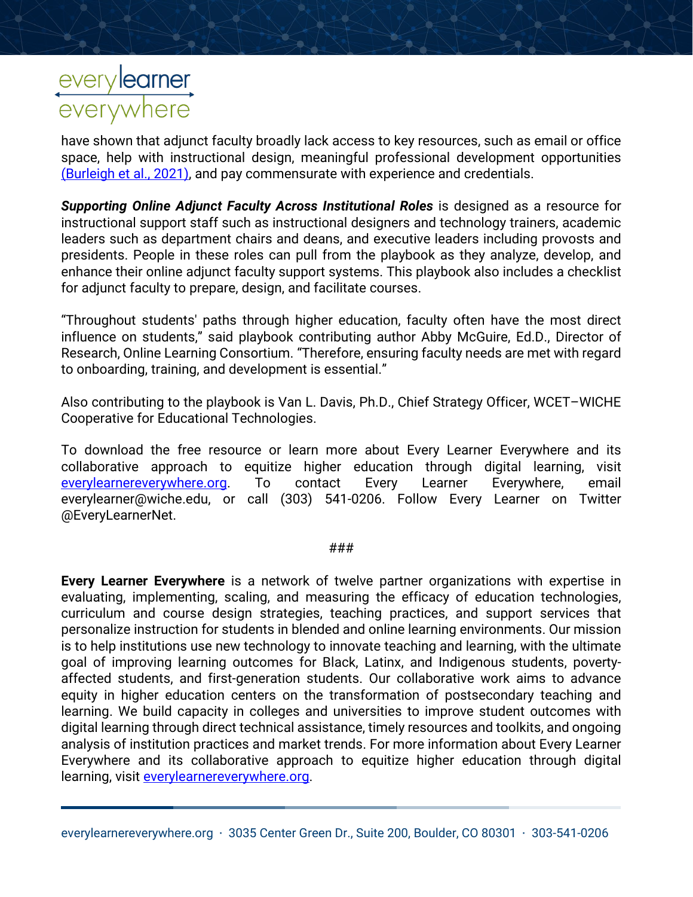## everylearner<br>everywhere

have shown that adjunct faculty broadly lack access to key resources, such as email or office space, help with instructional design, meaningful professional development opportunities [\(Burleigh et al., 2021\),](https://www.zotero.org/google-docs/?Xpfgxp) and pay commensurate with experience and credentials.

*Supporting Online Adjunct Faculty Across Institutional Roles* is designed as a resource for instructional support staff such as instructional designers and technology trainers, academic leaders such as department chairs and deans, and executive leaders including provosts and presidents. People in these roles can pull from the playbook as they analyze, develop, and enhance their online adjunct faculty support systems. This playbook also includes a checklist for adjunct faculty to prepare, design, and facilitate courses.

"Throughout students' paths through higher education, faculty often have the most direct influence on students," said playbook contributing author Abby McGuire, Ed.D., Director of Research, Online Learning Consortium. "Therefore, ensuring faculty needs are met with regard to onboarding, training, and development is essential."

Also contributing to the playbook is Van L. Davis, Ph.D., Chief Strategy Officer, WCET–WICHE Cooperative for Educational Technologies.

To download the free resource or learn more about Every Learner Everywhere and its collaborative approach to equitize higher education through digital learning, visit [everylearnereverywhere.org.](http://www.everylearnereverywhere.org/) To contact Every Learner Everywhere, email everylearner@wiche.edu, or call (303) 541-0206. Follow Every Learner on Twitter @EveryLearnerNet.

###

**Every Learner Everywhere** is a network of twelve partner organizations with expertise in evaluating, implementing, scaling, and measuring the efficacy of education technologies, curriculum and course design strategies, teaching practices, and support services that personalize instruction for students in blended and online learning environments. Our mission is to help institutions use new technology to innovate teaching and learning, with the ultimate goal of improving learning outcomes for Black, Latinx, and Indigenous students, povertyaffected students, and first-generation students. Our collaborative work aims to advance equity in higher education centers on the transformation of postsecondary teaching and learning. We build capacity in colleges and universities to improve student outcomes with digital learning through direct technical assistance, timely resources and toolkits, and ongoing analysis of institution practices and market trends. For more information about Every Learner Everywhere and its collaborative approach to equitize higher education through digital learning, visit [everylearnereverywhere.org.](http://www.everylearnereverywhere.org/)